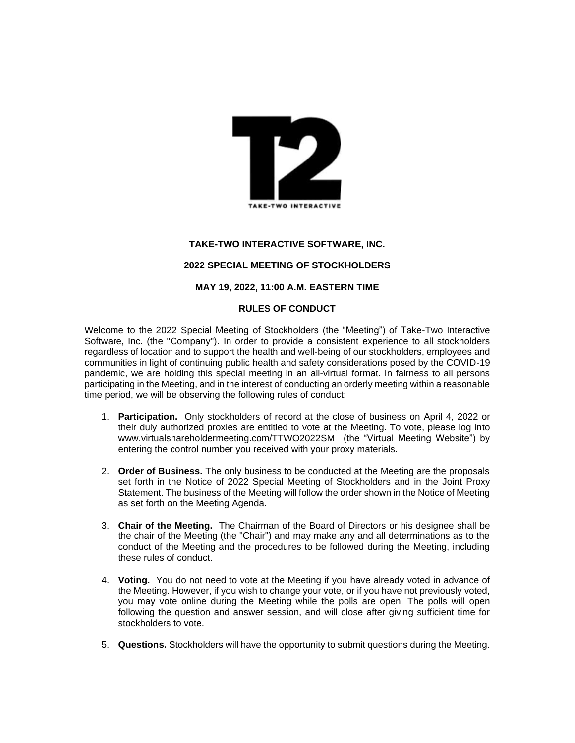

# **TAKE-TWO INTERACTIVE SOFTWARE, INC. 2022 SPECIAL MEETING OF STOCKHOLDERS**

#### **MAY 19, 2022, 11:00 A.M. EASTERN TIME**

### **RULES OF CONDUCT**

Welcome to the 2022 Special Meeting of Stockholders (the "Meeting") of Take-Two Interactive Software, Inc. (the "Company"). In order to provide a consistent experience to all stockholders regardless of location and to support the health and well-being of our stockholders, employees and communities in light of continuing public health and safety considerations posed by the COVID-19 pandemic, we are holding this special meeting in an all-virtual format. In fairness to all persons participating in the Meeting, and in the interest of conducting an orderly meeting within a reasonable time period, we will be observing the following rules of conduct:

- 1. **Participation.** Only stockholders of record at the close of business on April 4, 2022 or their duly authorized proxies are entitled to vote at the Meeting. To vote, please log into www.virtualshareholdermeeting.com/TTWO2022SM (the "Virtual Meeting Website") by entering the control number you received with your proxy materials.
- 2. **Order of Business.** The only business to be conducted at the Meeting are the proposals set forth in the Notice of 2022 Special Meeting of Stockholders and in the Joint Proxy Statement. The business of the Meeting will follow the order shown in the Notice of Meeting as set forth on the Meeting Agenda.
- 3. **Chair of the Meeting.** The Chairman of the Board of Directors or his designee shall be the chair of the Meeting (the "Chair") and may make any and all determinations as to the conduct of the Meeting and the procedures to be followed during the Meeting, including these rules of conduct.
- 4. **Voting.** You do not need to vote at the Meeting if you have already voted in advance of the Meeting. However, if you wish to change your vote, or if you have not previously voted, you may vote online during the Meeting while the polls are open. The polls will open following the question and answer session, and will close after giving sufficient time for stockholders to vote.
- 5. **Questions.** Stockholders will have the opportunity to submit questions during the Meeting.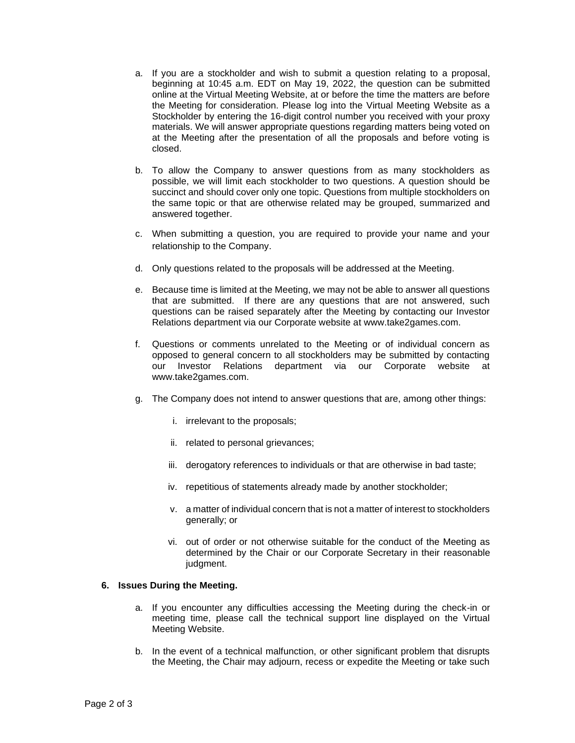- a. If you are a stockholder and wish to submit a question relating to a proposal, beginning at 10:45 a.m. EDT on May 19, 2022, the question can be submitted online at the Virtual Meeting Website, at or before the time the matters are before the Meeting for consideration. Please log into the Virtual Meeting Website as a Stockholder by entering the 16-digit control number you received with your proxy materials. We will answer appropriate questions regarding matters being voted on at the Meeting after the presentation of all the proposals and before voting is closed.
- b. To allow the Company to answer questions from as many stockholders as possible, we will limit each stockholder to two questions. A question should be succinct and should cover only one topic. Questions from multiple stockholders on the same topic or that are otherwise related may be grouped, summarized and answered together.
- c. When submitting a question, you are required to provide your name and your relationship to the Company.
- d. Only questions related to the proposals will be addressed at the Meeting.
- e. Because time is limited at the Meeting, we may not be able to answer all questions that are submitted. If there are any questions that are not answered, such questions can be raised separately after the Meeting by contacting our Investor Relations department via our Corporate website at www.take2games.com.
- f. Questions or comments unrelated to the Meeting or of individual concern as opposed to general concern to all stockholders may be submitted by contacting our Investor Relations department via our Corporate website at www.take2games.com.
- g. The Company does not intend to answer questions that are, among other things:
	- i. irrelevant to the proposals;
	- ii. related to personal grievances;
	- iii. derogatory references to individuals or that are otherwise in bad taste;
	- iv. repetitious of statements already made by another stockholder;
	- v. a matter of individual concern that is not a matter of interest to stockholders generally; or
	- vi. out of order or not otherwise suitable for the conduct of the Meeting as determined by the Chair or our Corporate Secretary in their reasonable judgment.

### **6. Issues During the Meeting.**

- a. If you encounter any difficulties accessing the Meeting during the check-in or meeting time, please call the technical support line displayed on the Virtual Meeting Website.
- b. In the event of a technical malfunction, or other significant problem that disrupts the Meeting, the Chair may adjourn, recess or expedite the Meeting or take such